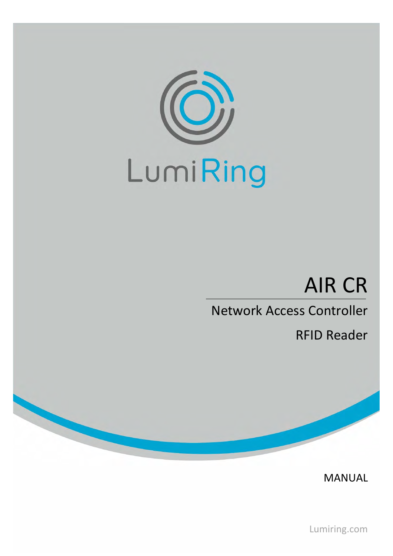

# AIR CR

# Network Access Controller

RFID Reader

MANUAL

Lumiring.com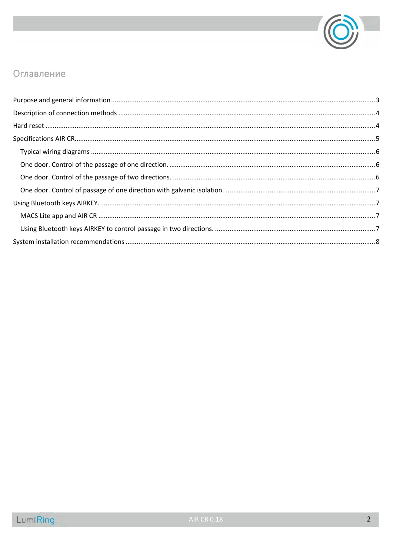

### Оглавление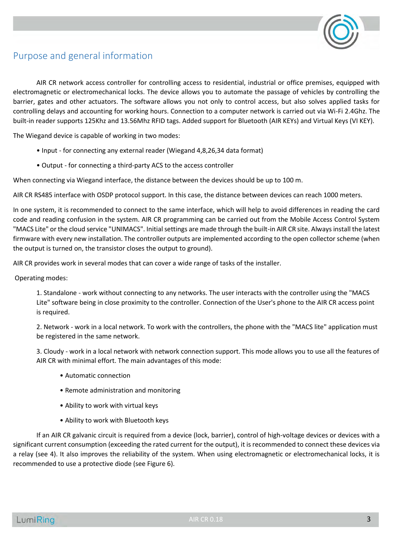

## <span id="page-2-0"></span>Purpose and general information

AIR CR network access controller for controlling access to residential, industrial or office premises, equipped with electromagnetic or electromechanical locks. The device allows you to automate the passage of vehicles by controlling the barrier, gates and other actuators. The software allows you not only to control access, but also solves applied tasks for controlling delays and accounting for working hours. Connection to a computer network is carried out via Wi-Fi 2.4Ghz. The built-in reader supports 125Khz and 13.56Mhz RFID tags. Added support for Bluetooth (AIR KEYs) and Virtual Keys (VI KEY).

The Wiegand device is capable of working in two modes:

- Input for connecting any external reader (Wiegand 4,8,26,34 data format)
- Output for connecting a third-party ACS to the access controller

When connecting via Wiegand interface, the distance between the devices should be up to 100 m.

AIR CR RS485 interface with OSDP protocol support. In this case, the distance between devices can reach 1000 meters.

In one system, it is recommended to connect to the same interface, which will help to avoid differences in reading the card code and reading confusion in the system. AIR CR programming can be carried out from the Mobile Access Control System "MACS Lite" or the cloud service "UNIMACS". Initial settings are made through the built-in AIR CR site. Always install the latest firmware with every new installation. The controller outputs are implemented according to the open collector scheme (when the output is turned on, the transistor closes the output to ground).

AIR CR provides work in several modes that can cover a wide range of tasks of the installer.

Operating modes:

1. Standalone - work without connecting to any networks. The user interacts with the controller using the "MACS Lite" software being in close proximity to the controller. Connection of the User's phone to the AIR CR access point is required.

2. Network - work in a local network. To work with the controllers, the phone with the "MACS lite" application must be registered in the same network.

3. Cloudy - work in a local network with network connection support. This mode allows you to use all the features of AIR CR with minimal effort. The main advantages of this mode:

- Automatic connection
- Remote administration and monitoring
- Ability to work with virtual keys
- Ability to work with Bluetooth keys

If an AIR CR galvanic circuit is required from a device (lock, barrier), control of high-voltage devices or devices with a significant current consumption (exceeding the rated current for the output), it is recommended to connect these devices via a relay (see 4). It also improves the reliability of the system. When using electromagnetic or electromechanical locks, it is recommended to use a protective diode (see Figure 6).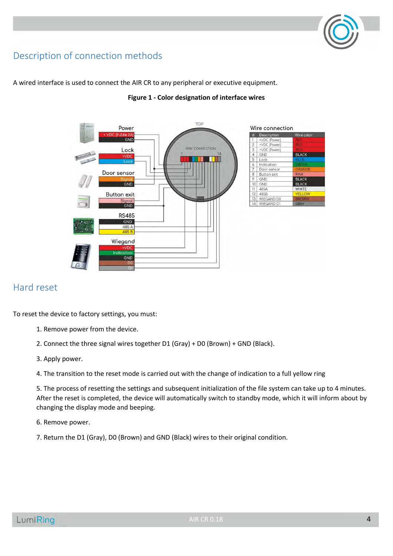# <span id="page-3-0"></span>Description of connection methods



A wired interface is used to connect the AIR CR to any peripheral or executive equipment.

#### **Figure 1 - Color designation of interface wires**

### <span id="page-3-1"></span>Hard reset

To reset the device to factory settings, you must:

- 1. Remove power from the device.
- 2. Connect the three signal wires together D1 (Gray) + D0 (Brown) + GND (Black).
- 3. Apply power.

4. The transition to the reset mode is carried out with the change of indication to a full yellow ring

5. The process of resetting the settings and subsequent initialization of the file system can take up to 4 minutes. After the reset is completed, the device will automatically switch to standby mode, which it will inform about by changing the display mode and beeping.

6. Remove power.

7. Return the D1 (Gray), D0 (Brown) and GND (Black) wires to their original condition.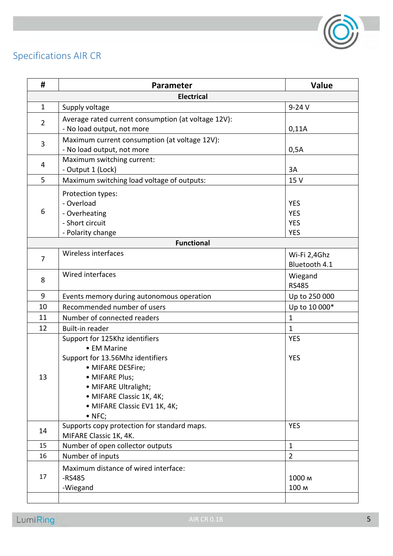

# <span id="page-4-0"></span>Specifications AIR CR

| #                 | Parameter                                                                   | Value          |  |  |
|-------------------|-----------------------------------------------------------------------------|----------------|--|--|
| <b>Electrical</b> |                                                                             |                |  |  |
| $\mathbf{1}$      | Supply voltage                                                              | $9-24V$        |  |  |
| $\overline{2}$    | Average rated current consumption (at voltage 12V):                         |                |  |  |
|                   | - No load output, not more                                                  | 0,11A          |  |  |
| 3                 | Maximum current consumption (at voltage 12V):<br>- No load output, not more | 0,5A           |  |  |
|                   | Maximum switching current:                                                  |                |  |  |
| 4                 | - Output 1 (Lock)                                                           | 3A             |  |  |
| 5                 | Maximum switching load voltage of outputs:                                  | 15 V           |  |  |
|                   | Protection types:                                                           |                |  |  |
|                   | - Overload                                                                  | <b>YES</b>     |  |  |
| 6                 | - Overheating                                                               | <b>YES</b>     |  |  |
|                   | - Short circuit                                                             | <b>YES</b>     |  |  |
|                   | - Polarity change                                                           | <b>YES</b>     |  |  |
|                   | <b>Functional</b>                                                           |                |  |  |
| $\overline{7}$    | Wireless interfaces                                                         | Wi-Fi 2,4Ghz   |  |  |
|                   |                                                                             | Bluetooth 4.1  |  |  |
| 8                 | Wired interfaces                                                            | Wiegand        |  |  |
|                   |                                                                             | <b>RS485</b>   |  |  |
| 9                 | Events memory during autonomous operation                                   | Up to 250 000  |  |  |
| 10                | Recommended number of users                                                 | Up to 10 000*  |  |  |
| 11                | Number of connected readers                                                 | $\mathbf{1}$   |  |  |
| 12                | Built-in reader                                                             | $\mathbf{1}$   |  |  |
|                   | Support for 125Khz identifiers                                              | <b>YES</b>     |  |  |
|                   | • EM Marine                                                                 |                |  |  |
|                   | Support for 13.56Mhz identifiers                                            | <b>YES</b>     |  |  |
| 13                | · MIFARE DESFire;                                                           |                |  |  |
|                   | • MIFARE Plus;                                                              |                |  |  |
|                   | • MIFARE Ultralight;                                                        |                |  |  |
|                   | • MIFARE Classic 1K, 4K;                                                    |                |  |  |
|                   | · MIFARE Classic EV1 1K, 4K;                                                |                |  |  |
|                   | $\bullet$ NFC;                                                              |                |  |  |
| 14                | Supports copy protection for standard maps.                                 | <b>YES</b>     |  |  |
|                   | MIFARE Classic 1K, 4K.                                                      |                |  |  |
| 15                | Number of open collector outputs                                            | $\mathbf{1}$   |  |  |
| 16                | Number of inputs                                                            | $\overline{2}$ |  |  |
| 17                | Maximum distance of wired interface:                                        |                |  |  |
|                   | $-RS485$                                                                    | 1000 м         |  |  |
|                   | -Wiegand                                                                    | 100 M          |  |  |
|                   |                                                                             |                |  |  |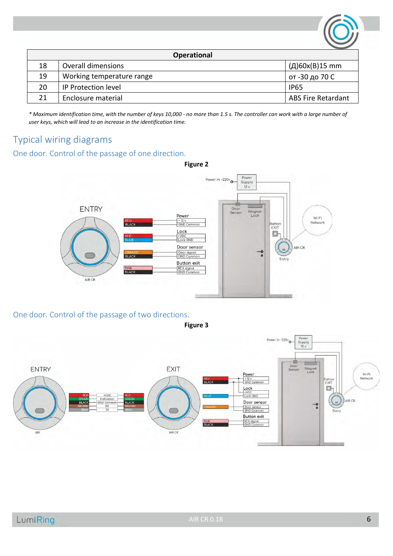| <b>Operational</b> |                           |                           |  |  |
|--------------------|---------------------------|---------------------------|--|--|
| 18                 | Overall dimensions        | (Д)60x(B)15 mm            |  |  |
| 19                 | Working temperature range | от -30 до 70 С            |  |  |
| 20                 | IP Protection level       | <b>IP65</b>               |  |  |
| 21                 | Enclosure material        | <b>ABS Fire Retardant</b> |  |  |

*\* Maximum identification time, with the number of keys 10,000 - no more than 1.5 s. The controller can work with a large number of user keys, which will lead to an increase in the identification time.*

# <span id="page-5-0"></span>Typical wiring diagrams

#### <span id="page-5-1"></span>One door. Control of the passage of one direction.



<span id="page-5-2"></span>One door. Control of the passage of two directions.





**Figure 2**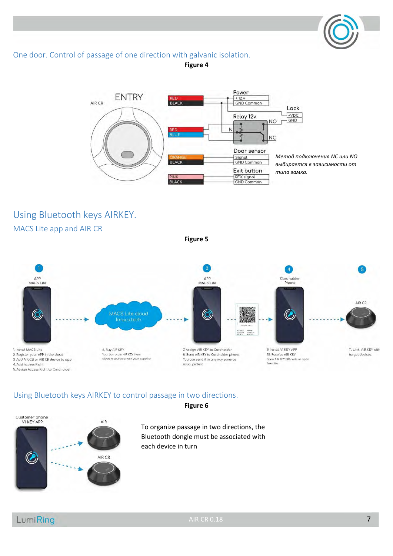#### <span id="page-6-0"></span>One door. Control of passage of one direction with galvanic isolation.

**Figure 4**



# <span id="page-6-1"></span>Using Bluetooth keys AIRKEY.

<span id="page-6-2"></span>MACS Lite app and AIR CR

**Figure 5**



#### <span id="page-6-3"></span>Using Bluetooth keys AIRKEY to control passage in two directions.



**Figure 6**

To organize passage in two directions, the Bluetooth dongle must be associated with each device in turn

# LumiRing

AIR CR 0.18 7 **7**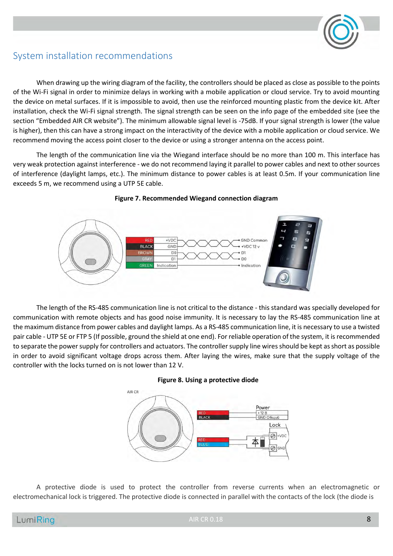

### <span id="page-7-0"></span>System installation recommendations

When drawing up the wiring diagram of the facility, the controllers should be placed as close as possible to the points of the Wi-Fi signal in order to minimize delays in working with a mobile application or cloud service. Try to avoid mounting the device on metal surfaces. If it is impossible to avoid, then use the reinforced mounting plastic from the device kit. After installation, check the Wi-Fi signal strength. The signal strength can be seen on the info page of the embedded site (see the section "Embedded AIR CR website"). The minimum allowable signal level is -75dB. If your signal strength is lower (the value is higher), then this can have a strong impact on the interactivity of the device with a mobile application or cloud service. We recommend moving the access point closer to the device or using a stronger antenna on the access point.

The length of the communication line via the Wiegand interface should be no more than 100 m. This interface has very weak protection against interference - we do not recommend laying it parallel to power cables and next to other sources of interference (daylight lamps, etc.). The minimum distance to power cables is at least 0.5m. If your communication line exceeds 5 m, we recommend using a UTP 5E cable.



#### **Figure 7. Recommended Wiegand connection diagram**

The length of the RS-485 communication line is not critical to the distance - this standard was specially developed for communication with remote objects and has good noise immunity. It is necessary to lay the RS-485 communication line at the maximum distance from power cables and daylight lamps. As a RS-485 communication line, it is necessary to use a twisted pair cable - UTP 5E or FTP 5 (If possible, ground the shield at one end). For reliable operation of the system, it is recommended to separate the power supply for controllers and actuators. The controller supply line wires should be kept as short as possible in order to avoid significant voltage drops across them. After laying the wires, make sure that the supply voltage of the controller with the locks turned on is not lower than 12 V.





A protective diode is used to protect the controller from reverse currents when an electromagnetic or electromechanical lock is triggered. The protective diode is connected in parallel with the contacts of the lock (the diode is